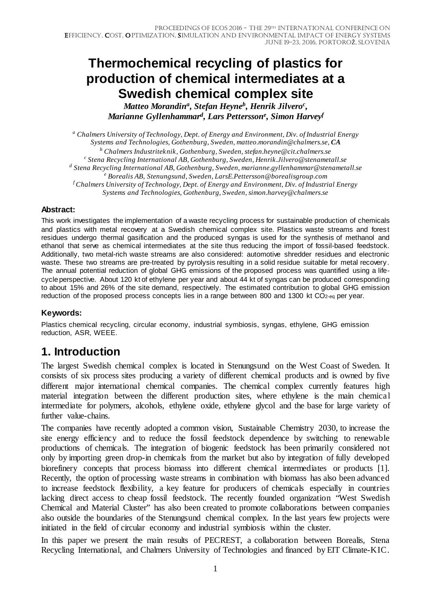# **Thermochemical recycling of plastics for production of chemical intermediates at a Swedish chemical complex site**

*Matteo Morandina, Stefan Heyneb, Henrik Jilveroc, Marianne Gyllenhammard, Lars Petterssone, Simon Harveyf*

*<sup>a</sup> Chalmers University of Technology, Dept. of Energy and Environment, Div. of Industrial Energy Systems and Technologies, Gothenburg, Sweden, matteo.morandin@chalmers.se, CA <sup>b</sup> Chalmers Industriteknik, Gothenburg, Sweden, stefan.heyne@cit.chalmers.se <sup>c</sup> Stena Recycling International AB, Gothenburg, Sweden, Henrik.Jilvero@stenametall.se <sup>d</sup> Stena Recycling International AB, Gothenburg, Sweden, marianne.gyllenhammar@stenametall.se <sup>e</sup> Borealis AB, Stenungsund, Sweden, LarsE.Pettersson@borealisgroup.com f Chalmers University of Technology, Dept. of Energy and Environment, Div. of Industrial Energy Systems and Technologies, Gothenburg, Sweden, simon.harvey@chalmers.se*

#### **Abstract:**

This work investigates the implementation of a waste recycling process for sustainable production of chemicals and plastics with metal recovery at a Swedish chemical complex site. Plastics waste streams and forest residues undergo thermal gasification and the produced syngas is used for the synthesis of methanol and ethanol that serve as chemical intermediates at the site thus reducing the import of fossil-based feedstock. Additionally, two metal-rich waste streams are also considered: automotive shredder residues and electronic waste. These two streams are pre-treated by pyrolysis resulting in a solid residue suitable for metal recovery. The annual potential reduction of global GHG emissions of the proposed process was quantified using a lifecycle perspective. About 120 kt of ethylene per year and about 44 kt of syngas can be produced corresponding to about 15% and 26% of the site demand, respectively. The estimated contribution to global GHG emission reduction of the proposed process concepts lies in a range between 800 and 1300 kt CO<sub>2-eq</sub> per year.

#### **Keywords:**

Plastics chemical recycling, circular economy, industrial symbiosis, syngas, ethylene, GHG emission reduction, ASR, WEEE.

## **1. Introduction**

The largest Swedish chemical complex is located in Stenungsund on the West Coast of Sweden. It consists of six process sites producing a variety of different chemical products and is owned by five different major international chemical companies. The chemical complex currently features high material integration between the different production sites, where ethylene is the main chemical intermediate for polymers, alcohols, ethylene oxide, ethylene glycol and the base for large variety of further value-chains.

The companies have recently adopted a common vision, Sustainable Chemistry 2030, to increase the site energy efficiency and to reduce the fossil feedstock dependence by switching to renewable productions of chemicals. The integration of biogenic feedstock has been primarily considered not only by importing green drop-in chemicals from the market but also by integration of fully developed biorefinery concepts that process biomass into different chemical intermediates or products [\[1\]](#page-16-0). Recently, the option of processing waste streams in combination with biomass has also been advanced to increase feedstock flexibility, a key feature for producers of chemicals especially in countries lacking direct access to cheap fossil feedstock. The recently founded organization "West Swedish Chemical and Material Cluster" has also been created to promote collaborations between companies also outside the boundaries of the Stenungsund chemical complex. In the last years few projects were initiated in the field of circular economy and industrial symbiosis within the cluster.

In this paper we present the main results of PECREST, a collaboration between Borealis, Stena Recycling International, and Chalmers University of Technologies and financed by EIT Climate-KIC.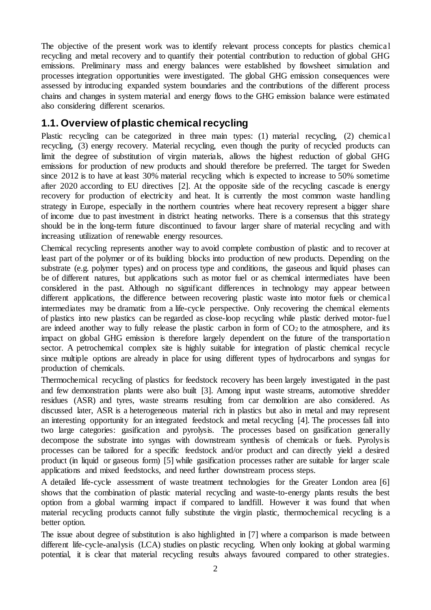The objective of the present work was to identify relevant process concepts for plastics chemical recycling and metal recovery and to quantify their potential contribution to reduction of global GHG emissions. Preliminary mass and energy balances were established by flowsheet simulation and processes integration opportunities were investigated. The global GHG emission consequences were assessed by introducing expanded system boundaries and the contributions of the different process chains and changes in system material and energy flows to the GHG emission balance were estimated also considering different scenarios.

### **1.1. Overview of plastic chemical recycling**

Plastic recycling can be categorized in three main types: (1) material recycling, (2) chemical recycling, (3) energy recovery. Material recycling, even though the purity of recycled products can limit the degree of substitution of virgin materials, allows the highest reduction of global GHG emissions for production of new products and should therefore be preferred. The target for Sweden since 2012 is to have at least 30% material recycling which is expected to increase to 50% sometime after 2020 according to EU directives [\[2\]](#page-16-1). At the opposite side of the recycling cascade is energy recovery for production of electricity and heat. It is currently the most common waste handling strategy in Europe, especially in the northern countries where heat recovery represent a bigger share of income due to past investment in district heating networks. There is a consensus that this strategy should be in the long-term future discontinued to favour larger share of material recycling and with increasing utilization of renewable energy resources.

Chemical recycling represents another way to avoid complete combustion of plastic and to recover at least part of the polymer or of its building blocks into production of new products. Depending on the substrate (e.g. polymer types) and on process type and conditions, the gaseous and liquid phases can be of different natures, but applications such as motor fuel or as chemical intermediates have been considered in the past. Although no significant differences in technology may appear between different applications, the difference between recovering plastic waste into motor fuels or chemical intermediates may be dramatic from a life-cycle perspective. Only recovering the chemical elements of plastics into new plastics can be regarded as close-loop recycling while plastic derived motor-fuel are indeed another way to fully release the plastic carbon in form of  $CO<sub>2</sub>$  to the atmosphere, and its impact on global GHG emission is therefore largely dependent on the future of the transportatio n sector. A petrochemical complex site is highly suitable for integration of plastic chemical recycle since multiple options are already in place for using different types of hydrocarbons and syngas for production of chemicals.

Thermochemical recycling of plastics for feedstock recovery has been largely investigated in the past and few demonstration plants were also built [\[3\]](#page-16-2). Among input waste streams, automotive shredder residues (ASR) and tyres, waste streams resulting from car demolition are also considered. As discussed later, ASR is a heterogeneous material rich in plastics but also in metal and may represent an interesting opportunity for an integrated feedstock and metal recycling [\[4\]](#page-16-3). The processes fall into two large categories: gasification and pyrolysis. The processes based on gasification generally decompose the substrate into syngas with downstream synthesis of chemicals or fuels. Pyrolysis processes can be tailored for a specific feedstock and/or product and can directly yield a desired product (in liquid or gaseous form) [\[5\]](#page-16-4) while gasification processes rather are suitable for larger scale applications and mixed feedstocks, and need further downstream process steps.

A detailed life-cycle assessment of waste treatment technologies for the Greater London area [\[6\]](#page-16-5) shows that the combination of plastic material recycling and waste-to-energy plants results the best option from a global warming impact if compared to landfill. However it was found that when material recycling products cannot fully substitute the virgin plastic, thermochemical recycling is a better option.

The issue about degree of substitution is also highlighted in [\[7\]](#page-16-6) where a comparison is made between different life-cycle-analysis (LCA) studies on plastic recycling. When only looking at global warming potential, it is clear that material recycling results always favoured compared to other strategies.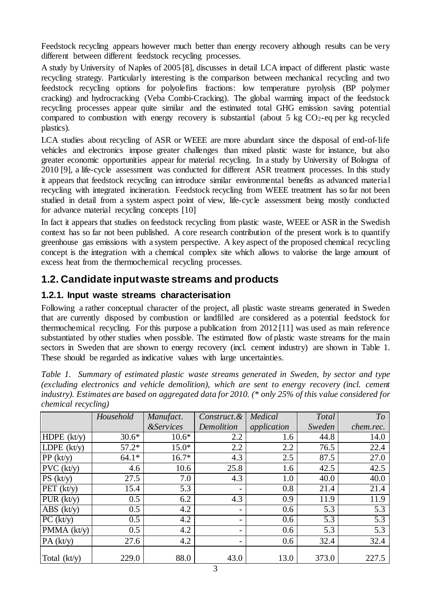Feedstock recycling appears however much better than energy recovery although results can be very different between different feedstock recycling processes.

A study by University of Naples of 2005 [\[8\]](#page-16-7), discusses in detail LCA impact of different plastic waste recycling strategy. Particularly interesting is the comparison between mechanical recycling and two feedstock recycling options for polyolefins fractions: low temperature pyrolysis (BP polymer cracking) and hydrocracking (Veba Combi-Cracking). The global warming impact of the feedstock recycling processes appear quite similar and the estimated total GHG emission saving potential compared to combustion with energy recovery is substantial (about  $5 \text{ kg CO}_2$ -eq per kg recycled plastics).

LCA studies about recycling of ASR or WEEE are more abundant since the disposal of end-of-life vehicles and electronics impose greater challenges than mixed plastic waste for instance, but also greater economic opportunities appear for material recycling. In a study by University of Bologna of 2010 [\[9\]](#page-16-8), a life-cycle assessment was conducted for different ASR treatment processes. In this study it appears that feedstock recycling can introduce similar environmental benefits as advanced material recycling with integrated incineration. Feedstock recycling from WEEE treatment has so far not been studied in detail from a system aspect point of view, life-cycle assessment being mostly conducted for advance material recycling concepts [\[10\]](#page-16-9)

In fact it appears that studies on feedstock recycling from plastic waste, WEEE or ASR in the Swedish context has so far not been published. A core research contribution of the present work is to quantify greenhouse gas emissions with a system perspective. A key aspect of the proposed chemical recycling concept is the integration with a chemical complex site which allows to valorise the large amount of excess heat from the thermochemical recycling processes.

### **1.2. Candidate input waste streams and products**

#### **1.2.1. Input waste streams characterisation**

Following a rather conceptual character of the project, all plastic waste streams generated in Sweden that are currently disposed by combustion or landfilled are considered as a potential feedstock for thermochemical recycling. For this purpose a publication from 2012 [\[11\]](#page-16-10) was used as main reference substantiated by other studies when possible. The estimated flow of plastic waste streams for the main sectors in Sweden that are shown to energy recovery (incl. cement industry) are shown in Table 1. These should be regarded as indicative values with large uncertainties.

*Table 1. Summary of estimated plastic waste streams generated in Sweden, by sector and type (excluding electronics and vehicle demolition), which are sent to energy recovery (incl. cement industry). Estimates are based on aggregated data for 2010. (\* only 25% of this value considered for chemical recycling)*

|                                 | Household | Manufact.                   | Construct.& | Medical     | Total  | To               |
|---------------------------------|-----------|-----------------------------|-------------|-------------|--------|------------------|
|                                 |           | <i><b>&amp;Services</b></i> | Demolition  | application | Sweden | chem.rec.        |
| HDPE $(kt/y)$                   | $30.6*$   | $10.6*$                     | 2.2         | 1.6         | 44.8   | 14.0             |
| LDPE $(kt/y)$                   | $57.2*$   | $15.0*$                     | 2.2         | 2.2         | 76.5   | 22.4             |
| PP (kt/y)                       | $64.1*$   | $16.7*$                     | 4.3         | 2.5         | 87.5   | 27.0             |
| PVC (kt/y)                      | 4.6       | 10.6                        | 25.8        | 1.6         | 42.5   | 42.5             |
| PS (kt/y)                       | 27.5      | 7.0                         | 4.3         | 1.0         | 40.0   | 40.0             |
| PET $(kt/y)$                    | 15.4      | 5.3                         |             | 0.8         | 21.4   | 21.4             |
| PUR (kt/y)                      | 0.5       | 6.2                         | 4.3         | 0.9         | 11.9   | 11.9             |
| $ABS$ (kt/y)                    | 0.5       | 4.2                         |             | 0.6         | 5.3    | 5.3              |
| PC (kt/y)                       | 0.5       | 4.2                         |             | 0.6         | 5.3    | $\overline{5.3}$ |
| $\overline{\text{PMMA}}$ (kt/y) | 0.5       | 4.2                         |             | 0.6         | 5.3    | 5.3              |
| PA (kt/y)                       | 27.6      | 4.2                         |             | 0.6         | 32.4   | 32.4             |
| Total (kt/y)                    | 229.0     | 88.0                        | 43.0        | 13.0        | 373.0  | 227.5            |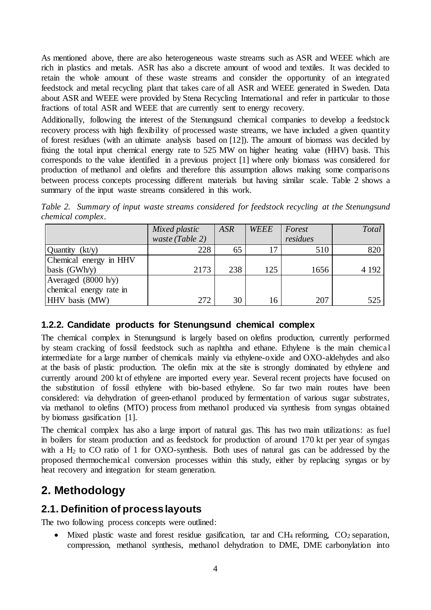As mentioned above, there are also heterogeneous waste streams such as ASR and WEEE which are rich in plastics and metals. ASR has also a discrete amount of wood and textiles. It was decided to retain the whole amount of these waste streams and consider the opportunity of an integrated feedstock and metal recycling plant that takes care of all ASR and WEEE generated in Sweden. Data about ASR and WEEE were provided by Stena Recycling International and refer in particular to those fractions of total ASR and WEEE that are currently sent to energy recovery.

Additionally, following the interest of the Stenungsund chemical companies to develop a feedstock recovery process with high flexibility of processed waste streams, we have included a given quantity of forest residues (with an ultimate analysis based on [\[12\]](#page-16-11)). The amount of biomass was decided by fixing the total input chemical energy rate to 525 MW on higher heating value (HHV) basis. This corresponds to the value identified in a previous project [\[1\]](#page-16-0) where only biomass was considered for production of methanol and olefins and therefore this assumption allows making some comparisons between process concepts processing different materials but having similar scale. Table 2 shows a summary of the input waste streams considered in this work.

*Table 2. Summary of input waste streams considered for feedstock recycling at the Stenungsund chemical complex.*

|                         | Mixed plastic   | <b>ASR</b> | <b>WEEE</b> | Forest   | Total   |
|-------------------------|-----------------|------------|-------------|----------|---------|
|                         | waste (Table 2) |            |             | residues |         |
| Quantity $(kt/y)$       | 228             | 65         | 17          | 510      | 820     |
| Chemical energy in HHV  |                 |            |             |          |         |
| basis (GWh/y)           | 2173            | 238        | 125         | 1656     | 4 1 9 2 |
| Averaged $(8000 h/y)$   |                 |            |             |          |         |
| chemical energy rate in |                 |            |             |          |         |
| HHV basis (MW)          | 272             | 30         | 16          | 207      | 525     |

#### **1.2.2. Candidate products for Stenungsund chemical complex**

The chemical complex in Stenungsund is largely based on olefins production, currently performed by steam cracking of fossil feedstock such as naphtha and ethane. Ethylene is the main chemical intermediate for a large number of chemicals mainly via ethylene-oxide and OXO-aldehydes and also at the basis of plastic production. The olefin mix at the site is strongly dominated by ethylene and currently around 200 kt of ethylene are imported every year. Several recent projects have focused on the substitution of fossil ethylene with bio-based ethylene. So far two main routes have been considered: via dehydration of green-ethanol produced by fermentation of various sugar substrates, via methanol to olefins (MTO) process from methanol produced via synthesis from syngas obtained by biomass gasification [\[1\]](#page-16-0).

The chemical complex has also a large import of natural gas. This has two main utilizations: as fuel in boilers for steam production and as feedstock for production of around 170 kt per year of syngas with a H2 to CO ratio of 1 for OXO-synthesis. Both uses of natural gas can be addressed by the proposed thermochemical conversion processes within this study, either by replacing syngas or by heat recovery and integration for steam generation.

## **2. Methodology**

### **2.1. Definition of process layouts**

The two following process concepts were outlined:

• Mixed plastic waste and forest residue gasification, tar and  $CH_4$  reforming,  $CO_2$  separation, compression, methanol synthesis, methanol dehydration to DME, DME carbonylation into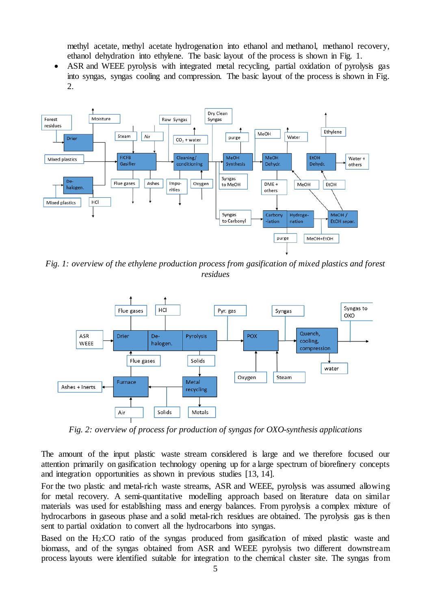methyl acetate, methyl acetate hydrogenation into ethanol and methanol, methanol recovery, ethanol dehydration into ethylene. The basic layout of the process is shown in Fig. 1.

• ASR and WEEE pyrolysis with integrated metal recycling, partial oxidation of pyrolysis gas into syngas, syngas cooling and compression. The basic layout of the process is shown in Fig. 2.



*Fig. 1: overview of the ethylene production process from gasification of mixed plastics and forest residues*



*Fig. 2: overview of process for production of syngas for OXO-synthesis applications*

The amount of the input plastic waste stream considered is large and we therefore focused our attention primarily on gasification technology opening up for a large spectrum of biorefinery concepts and integration opportunities as shown in previous studies [\[13,](#page-16-12) [14\]](#page-16-13).

For the two plastic and metal-rich waste streams, ASR and WEEE, pyrolysis was assumed allowing for metal recovery. A semi-quantitative modelling approach based on literature data on similar materials was used for establishing mass and energy balances. From pyrolysis a complex mixture of hydrocarbons in gaseous phase and a solid metal-rich residues are obtained. The pyrolysis gas is then sent to partial oxidation to convert all the hydrocarbons into syngas.

Based on the H2:CO ratio of the syngas produced from gasification of mixed plastic waste and biomass, and of the syngas obtained from ASR and WEEE pyrolysis two different downstream process layouts were identified suitable for integration to the chemical cluster site. The syngas from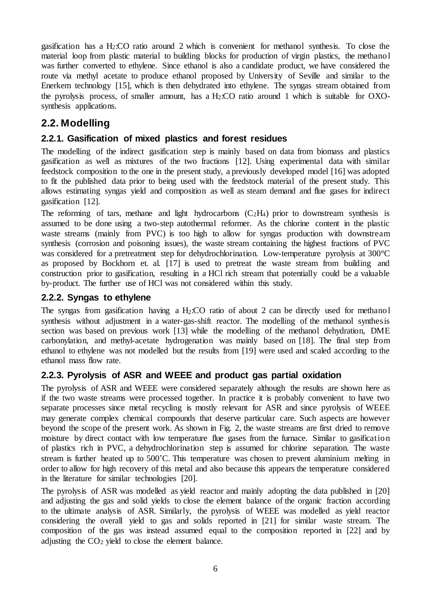gasification has a H2:CO ratio around 2 which is convenient for methanol synthesis. To close the material loop from plastic material to building blocks for production of virgin plastics, the methanol was further converted to ethylene. Since ethanol is also a candidate product, we have considered the route via methyl acetate to produce ethanol proposed by University of Seville and similar to the Enerkem technology [\[15\]](#page-16-14), which is then dehydrated into ethylene. The syngas stream obtained from the pyrolysis process, of smaller amount, has a  $H_2$ : $CO$  ratio around 1 which is suitable for  $OXO$ synthesis applications.

### **2.2. Modelling**

#### **2.2.1. Gasification of mixed plastics and forest residues**

The modelling of the indirect gasification step is mainly based on data from biomass and plastics gasification as well as mixtures of the two fractions [\[12\]](#page-16-11). Using experimental data with similar feedstock composition to the one in the present study, a previously developed model [\[16\]](#page-17-0) was adopted to fit the published data prior to being used with the feedstock material of the present study. This allows estimating syngas yield and composition as well as steam demand and flue gases for indirect gasification [\[12\]](#page-16-11).

The reforming of tars, methane and light hydrocarbons  $(C_2H_4)$  prior to downstream synthesis is assumed to be done using a two-step autothermal reformer. As the chlorine content in the plastic waste streams (mainly from PVC) is too high to allow for syngas production with downstream synthesis (corrosion and poisoning issues), the waste stream containing the highest fractions of PVC was considered for a pretreatment step for dehydrochlorination. Low-temperature pyrolysis at 300°C as proposed by Bockhorn et. al. [\[17\]](#page-17-1) is used to pretreat the waste stream from building and construction prior to gasification, resulting in a HCl rich stream that potentially could be a valuable by-product. The further use of HCl was not considered within this study.

#### **2.2.2. Syngas to ethylene**

The syngas from gasification having a  $H_2$ :CO ratio of about 2 can be directly used for methano l synthesis without adjustment in a water-gas-shift reactor. The modelling of the methanol synthesis section was based on previous work [\[13\]](#page-16-12) while the modelling of the methanol dehydration, DME carbonylation, and methyl-acetate hydrogenation was mainly based on [\[18\]](#page-17-2). The final step from ethanol to ethylene was not modelled but the results from [\[19\]](#page-17-3) were used and scaled according to the ethanol mass flow rate.

#### **2.2.3. Pyrolysis of ASR and WEEE and product gas partial oxidation**

The pyrolysis of ASR and WEEE were considered separately although the results are shown here as if the two waste streams were processed together. In practice it is probably convenient to have two separate processes since metal recycling is mostly relevant for ASR and since pyrolysis of WEEE may generate complex chemical compounds that deserve particular care. Such aspects are however beyond the scope of the present work. As shown in Fig. 2, the waste streams are first dried to remove moisture by direct contact with low temperature flue gases from the furnace. Similar to gasification of plastics rich in PVC, a dehydrochlorination step is assumed for chlorine separation. The waste stream is further heated up to 500˚C. This temperature was chosen to prevent aluminium melting in order to allow for high recovery of this metal and also because this appears the temperature considered in the literature for similar technologies [\[20\]](#page-17-4).

The pyrolysis of ASR was modelled as yield reactor and mainly adopting the data published in [\[20\]](#page-17-4) and adjusting the gas and solid yields to close the element balance of the organic fraction according to the ultimate analysis of ASR. Similarly, the pyrolysis of WEEE was modelled as yield reactor considering the overall yield to gas and solids reported in [\[21\]](#page-17-5) for similar waste stream. The composition of the gas was instead assumed equal to the composition reported in [\[22\]](#page-17-6) and by adjusting the  $CO<sub>2</sub>$  yield to close the element balance.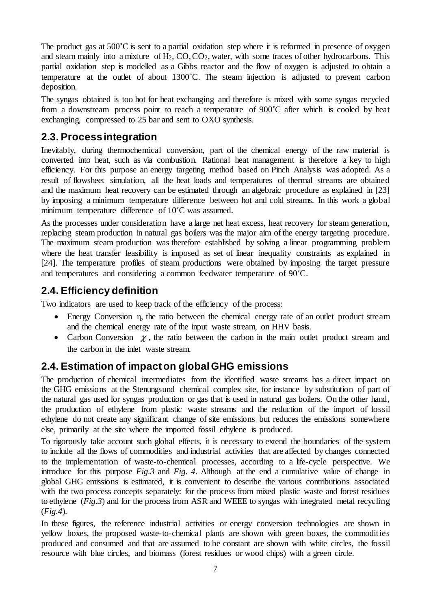The product gas at  $500^{\circ}$ C is sent to a partial oxidation step where it is reformed in presence of oxygen and steam mainly into a mixture of  $H_2$ ,  $CO$ ,  $CO_2$ , water, with some traces of other hydrocarbons. This partial oxidation step is modelled as a Gibbs reactor and the flow of oxygen is adjusted to obtain a temperature at the outlet of about 1300˚C. The steam injection is adjusted to prevent carbon deposition.

The syngas obtained is too hot for heat exchanging and therefore is mixed with some syngas recycled from a downstream process point to reach a temperature of 900˚C after which is cooled by heat exchanging, compressed to 25 bar and sent to OXO synthesis.

### **2.3. Process integration**

Inevitably, during thermochemical conversion, part of the chemical energy of the raw material is converted into heat, such as via combustion. Rational heat management is therefore a key to high efficiency. For this purpose an energy targeting method based on Pinch Analysis was adopted. As a result of flowsheet simulation, all the heat loads and temperatures of thermal streams are obtained and the maximum heat recovery can be estimated through an algebraic procedure as explained in [\[23\]](#page-17-7) by imposing a minimum temperature difference between hot and cold streams. In this work a global minimum temperature difference of 10˚C was assumed.

As the processes under consideration have a large net heat excess, heat recovery for steam generatio n, replacing steam production in natural gas boilers was the major aim of the energy targeting procedure. The maximum steam production was therefore established by solving a linear programming problem where the heat transfer feasibility is imposed as set of linear inequality constraints as explained in [\[24\]](#page-17-8). The temperature profiles of steam productions were obtained by imposing the target pressure and temperatures and considering a common feedwater temperature of 90˚C.

### **2.4. Efficiency definition**

Two indicators are used to keep track of the efficiency of the process:

- Energy Conversion η, the ratio between the chemical energy rate of an outlet product stream and the chemical energy rate of the input waste stream, on HHV basis.
- Carbon Conversion  $\chi$ , the ratio between the carbon in the main outlet product stream and the carbon in the inlet waste stream.

### **2.4. Estimation of impact on global GHG emissions**

The production of chemical intermediates from the identified waste streams has a direct impact on the GHG emissions at the Stenungsund chemical complex site, for instance by substitution of part of the natural gas used for syngas production or gas that is used in natural gas boilers. On the other hand, the production of ethylene from plastic waste streams and the reduction of the import of fossil ethylene do not create any significant change of site emissions but reduces the emissions somewhere else, primarily at the site where the imported fossil ethylene is produced.

To rigorously take account such global effects, it is necessary to extend the boundaries of the system to include all the flows of commodities and industrial activities that are affected by changes connected to the implementation of waste-to-chemical processes, according to a life-cycle perspective. We introduce for this purpose *Fig.3* and *Fig. 4*. Although at the end a cumulative value of change in global GHG emissions is estimated, it is convenient to describe the various contributions associated with the two process concepts separately: for the process from mixed plastic waste and forest residues to ethylene (*Fig.3*) and for the process from ASR and WEEE to syngas with integrated metal recycling (*Fig.4*).

In these figures, the reference industrial activities or energy conversion technologies are shown in yellow boxes, the proposed waste-to-chemical plants are shown with green boxes, the commodities produced and consumed and that are assumed to be constant are shown with white circles, the fossil resource with blue circles, and biomass (forest residues or wood chips) with a green circle.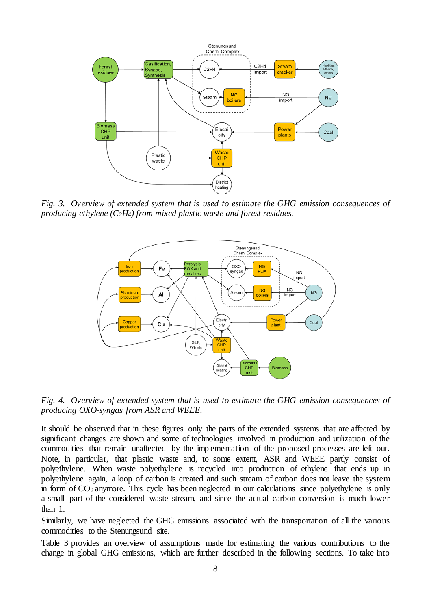

*Fig. 3. Overview of extended system that is used to estimate the GHG emission consequences of producing ethylene (C2H4) from mixed plastic waste and forest residues.*



*Fig. 4. Overview of extended system that is used to estimate the GHG emission consequences of producing OXO-syngas from ASR and WEEE.*

It should be observed that in these figures only the parts of the extended systems that are affected by significant changes are shown and some of technologies involved in production and utilization of the commodities that remain unaffected by the implementation of the proposed processes are left out. Note, in particular, that plastic waste and, to some extent, ASR and WEEE partly consist of polyethylene. When waste polyethylene is recycled into production of ethylene that ends up in polyethylene again, a loop of carbon is created and such stream of carbon does not leave the system in form of CO<sub>2</sub> anymore. This cycle has been neglected in our calculations since polyethylene is only a small part of the considered waste stream, and since the actual carbon conversion is much lower than 1.

Similarly, we have neglected the GHG emissions associated with the transportation of all the various commodities to the Stenungsund site.

Table 3 provides an overview of assumptions made for estimating the various contributions to the change in global GHG emissions, which are further described in the following sections. To take into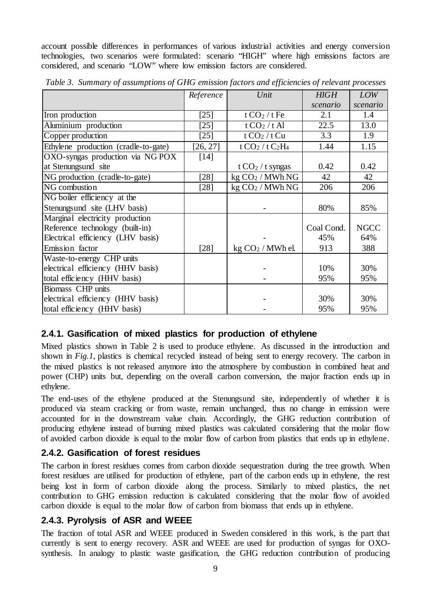account possible differences in performances of various industrial activities and energy conversion technologies, two scenarios were formulated: scenario "HIGH" where high emissions factors are considered, and scenario "LOW" where low emission factors are considered.

|                                      | Reference | Unit                         | <b>HIGH</b> | <b>LOW</b>  |
|--------------------------------------|-----------|------------------------------|-------------|-------------|
|                                      |           |                              | scenario    | scenario    |
| Iron production                      | $[25]$    | t $CO2 / t$ Fe               | 2.1         | 1.4         |
| Aluminium production                 | $[25]$    | t CO <sub>2</sub> /t Al      | 22.5        | 13.0        |
| Copper production                    | $[25]$    | t CO <sub>2</sub> /t Cu      | 3.3         | 1.9         |
| Ethylene production (cradle-to-gate) | [26, 27]  | t $CO2 / t C2H4$             | 1.44        | 1.15        |
| OXO-syngas production via NG POX     | [14]      |                              |             |             |
| at Stenungsund site                  |           | t CO <sub>2</sub> / t syngas | 0.42        | 0.42        |
| NG production (cradle-to-gate)       | $[28]$    | kg CO <sub>2</sub> / MWh NG  | 42          | 42          |
| NG combustion                        | $[28]$    | kg CO <sub>2</sub> / MWh NG  | 206         | 206         |
| NG boiler efficiency at the          |           |                              |             |             |
| Stenungsund site (LHV basis)         |           |                              | 80%         | 85%         |
| Marginal electricity production      |           |                              |             |             |
| Reference technology (built-in)      |           |                              | Coal Cond.  | <b>NGCC</b> |
| Electrical efficiency (LHV basis)    |           |                              | 45%         | 64%         |
| Emission factor                      | $[28]$    | $kg CO2 / MWh$ el.           | 913         | 388         |
| Waste-to-energy CHP units            |           |                              |             |             |
| electrical efficiency (HHV basis)    |           |                              | 10%         | 30%         |
| total efficiency (HHV basis)         |           |                              | 95%         | 95%         |
| <b>Biomass CHP</b> units             |           |                              |             |             |
| electrical efficiency (HHV basis)    |           |                              | 30%         | 30%         |
| total efficiency (HHV basis)         |           |                              | 95%         | 95%         |

*Table 3. Summary of assumptions of GHG emission factors and efficiencies of relevant processes*

#### **2.4.1. Gasification of mixed plastics for production of ethylene**

Mixed plastics shown in Table 2 is used to produce ethylene. As discussed in the introduction and shown in *Fig.1*, plastics is chemical recycled instead of being sent to energy recovery. The carbon in the mixed plastics is not released anymore into the atmosphere by combustion in combined heat and power (CHP) units but, depending on the overall carbon conversion, the major fraction ends up in ethylene.

The end-uses of the ethylene produced at the Stenungsund site, independently of whether it is produced via steam cracking or from waste, remain unchanged, thus no change in emission were accounted for in the downstream value chain. Accordingly, the GHG reduction contribution of producing ethylene instead of burning mixed plastics was calculated considering that the molar flow of avoided carbon dioxide is equal to the molar flow of carbon from plastics that ends up in ethylene.

#### **2.4.2. Gasification of forest residues**

The carbon in forest residues comes from carbon dioxide sequestration during the tree growth. When forest residues are utilised for production of ethylene, part of the carbon ends up in ethylene, the rest being lost in form of carbon dioxide along the process. Similarly to mixed plastics, the net contribution to GHG emission reduction is calculated considering that the molar flow of avoided carbon dioxide is equal to the molar flow of carbon from biomass that ends up in ethylene.

#### **2.4.3. Pyrolysis of ASR and WEEE**

The fraction of total ASR and WEEE produced in Sweden considered in this work, is the part that currently is sent to energy recovery. ASR and WEEE are used for production of syngas for OXOsynthesis. In analogy to plastic waste gasification, the GHG reduction contribution of producing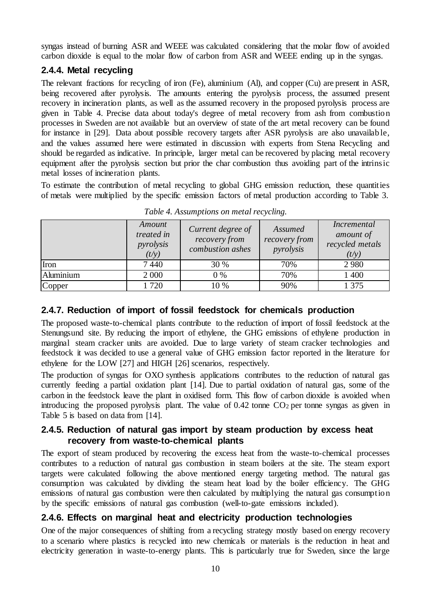syngas instead of burning ASR and WEEE was calculated considering that the molar flow of avoided carbon dioxide is equal to the molar flow of carbon from ASR and WEEE ending up in the syngas.

#### **2.4.4. Metal recycling**

The relevant fractions for recycling of iron (Fe), aluminium (Al), and copper (Cu) are present in ASR, being recovered after pyrolysis. The amounts entering the pyrolysis process, the assumed present recovery in incineration plants, as well as the assumed recovery in the proposed pyrolysis process are given in Table 4. Precise data about today's degree of metal recovery from ash from combustio n processes in Sweden are not available but an overview of state of the art metal recovery can be found for instance in [\[29\]](#page-17-13). Data about possible recovery targets after ASR pyrolysis are also unavailab le, and the values assumed here were estimated in discussion with experts from Stena Recycling and should be regarded as indicative. In principle, larger metal can be recovered by placing metal recovery equipment after the pyrolysis section but prior the char combustion thus avoiding part of the intrinsic metal losses of incineration plants.

To estimate the contribution of metal recycling to global GHG emission reduction, these quantities of metals were multiplied by the specific emission factors of metal production according to Table 3.

|           | Amount<br>treated in<br>pyrolysis<br>(t/y) | Current degree of<br>recovery from<br>combustion ashes | Assumed<br>recovery from<br>pyrolysis | <i>Incremental</i><br>amount of<br>recycled metals<br>(t/y) |
|-----------|--------------------------------------------|--------------------------------------------------------|---------------------------------------|-------------------------------------------------------------|
| Iron      | 7440                                       | 30 %                                                   | 70%                                   | 2980                                                        |
| Aluminium | 2 0 0 0                                    | $0\%$                                                  | 70%                                   | 1 400                                                       |
| Copper    | 1720                                       | 10 %                                                   | 90%                                   | 1 3 7 5                                                     |

*Table 4. Assumptions on metal recycling.*

### **2.4.7. Reduction of import of fossil feedstock for chemicals production**

The proposed waste-to-chemical plants contribute to the reduction of import of fossil feedstock at the Stenungsund site. By reducing the import of ethylene, the GHG emissions of ethylene production in marginal steam cracker units are avoided. Due to large variety of steam cracker technologies and feedstock it was decided to use a general value of GHG emission factor reported in the literature for ethylene for the LOW [\[27\]](#page-17-11) and HIGH [\[26\]](#page-17-10) scenarios, respectively.

The production of syngas for OXO synthesis applications contributes to the reduction of natural gas currently feeding a partial oxidation plant [\[14\]](#page-16-13). Due to partial oxidation of natural gas, some of the carbon in the feedstock leave the plant in oxidised form. This flow of carbon dioxide is avoided when introducing the proposed pyrolysis plant. The value of  $0.42$  tonne CO<sub>2</sub> per tonne syngas as given in Table 5 is based on data from [\[14\]](#page-16-13).

#### **2.4.5. Reduction of natural gas import by steam production by excess heat recovery from waste-to-chemical plants**

The export of steam produced by recovering the excess heat from the waste-to-chemical processes contributes to a reduction of natural gas combustion in steam boilers at the site. The steam export targets were calculated following the above mentioned energy targeting method. The natural gas consumption was calculated by dividing the steam heat load by the boiler efficiency. The GHG emissions of natural gas combustion were then calculated by multiplying the natural gas consumptio n by the specific emissions of natural gas combustion (well-to-gate emissions included).

### **2.4.6. Effects on marginal heat and electricity production technologies**

One of the major consequences of shifting from a recycling strategy mostly based on energy recovery to a scenario where plastics is recycled into new chemicals or materials is the reduction in heat and electricity generation in waste-to-energy plants. This is particularly true for Sweden, since the large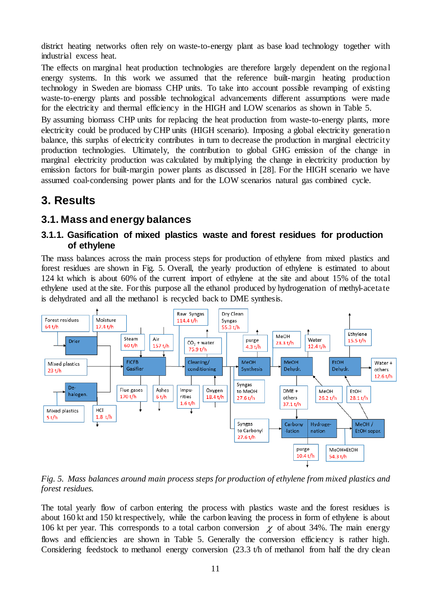district heating networks often rely on waste-to-energy plant as base load technology together with industrial excess heat.

The effects on marginal heat production technologies are therefore largely dependent on the regional energy systems. In this work we assumed that the reference built-margin heating production technology in Sweden are biomass CHP units. To take into account possible revamping of existing waste-to-energy plants and possible technological advancements different assumptions were made for the electricity and thermal efficiency in the HIGH and LOW scenarios as shown in Table 5.

By assuming biomass CHP units for replacing the heat production from waste-to-energy plants, more electricity could be produced by CHP units (HIGH scenario). Imposing a global electricity generation balance, this surplus of electricity contributes in turn to decrease the production in marginal electricity production technologies. Ultimately, the contribution to global GHG emission of the change in marginal electricity production was calculated by multiplying the change in electricity production by emission factors for built-margin power plants as discussed in [\[28\]](#page-17-12). For the HIGH scenario we have assumed coal-condensing power plants and for the LOW scenarios natural gas combined cycle.

## **3. Results**

### **3.1. Mass and energy balances**

#### **3.1.1. Gasification of mixed plastics waste and forest residues for production of ethylene**

The mass balances across the main process steps for production of ethylene from mixed plastics and forest residues are shown in Fig. 5. Overall, the yearly production of ethylene is estimated to about 124 kt which is about 60% of the current import of ethylene at the site and about 15% of the total ethylene used at the site. For this purpose all the ethanol produced by hydrogenation of methyl-acetate is dehydrated and all the methanol is recycled back to DME synthesis.



*Fig. 5. Mass balances around main process steps for production of ethylene from mixed plastics and forest residues.*

The total yearly flow of carbon entering the process with plastics waste and the forest residues is about 160 kt and 150 kt respectively, while the carbon leaving the process in form of ethylene is about 106 kt per year. This corresponds to a total carbon conversion  $\chi$  of about 34%. The main energy flows and efficiencies are shown in Table 5. Generally the conversion efficiency is rather high. Considering feedstock to methanol energy conversion (23.3 t/h of methanol from half the dry clean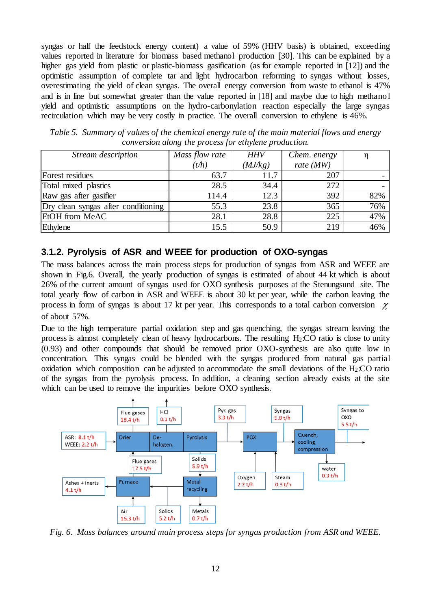syngas or half the feedstock energy content) a value of 59% (HHV basis) is obtained, exceeding values reported in literature for biomass based methanol production [\[30\]](#page-17-14). This can be explained by a higher gas yield from plastic or plastic-biomass gasification (as for example reported in [\[12\]](#page-16-11)) and the optimistic assumption of complete tar and light hydrocarbon reforming to syngas without losses, overestimating the yield of clean syngas. The overall energy conversion from waste to ethanol is 47% and is in line but somewhat greater than the value reported in [\[18\]](#page-17-2) and maybe due to high methano l yield and optimistic assumptions on the hydro-carbonylation reaction especially the large syngas recirculation which may be very costly in practice. The overall conversion to ethylene is 46%.

| Stream description                  | Mass flow rate | <b>HHV</b> | Chem. energy |     |
|-------------------------------------|----------------|------------|--------------|-----|
|                                     | (t/h)          | (MJ/kg)    | rate $(MW)$  |     |
| Forest residues                     | 63.7           | 11.7       | 207          |     |
| Total mixed plastics                | 28.5           | 34.4       | 272          |     |
| Raw gas after gasifier              | 114.4          | 12.3       | 392          | 82% |
| Dry clean syngas after conditioning | 55.3           | 23.8       | 365          | 76% |
| EtOH from MeAC                      | 28.1           | 28.8       | 225          | 47% |
| Ethylene                            | 15.5           | 50.9       | 219          | 46% |

*Table 5. Summary of values of the chemical energy rate of the main material flows and energy conversion along the process for ethylene production.*

#### **3.1.2. Pyrolysis of ASR and WEEE for production of OXO-syngas**

The mass balances across the main process steps for production of syngas from ASR and WEEE are shown in Fig.6. Overall, the yearly production of syngas is estimated of about 44 kt which is about 26% of the current amount of syngas used for OXO synthesis purposes at the Stenungsund site. The total yearly flow of carbon in ASR and WEEE is about 30 kt per year, while the carbon leaving the process in form of syngas is about 17 kt per year. This corresponds to a total carbon conversion  $\chi$ of about 57%.

Due to the high temperature partial oxidation step and gas quenching, the syngas stream leaving the process is almost completely clean of heavy hydrocarbons. The resulting H2:CO ratio is close to unity (0.93) and other compounds that should be removed prior OXO-synthesis are also quite low in concentration. This syngas could be blended with the syngas produced from natural gas partial oxidation which composition can be adjusted to accommodate the small deviations of the H2:CO ratio of the syngas from the pyrolysis process. In addition, a cleaning section already exists at the site which can be used to remove the impurities before OXO synthesis.



*Fig. 6. Mass balances around main process steps for syngas production from ASR and WEEE.*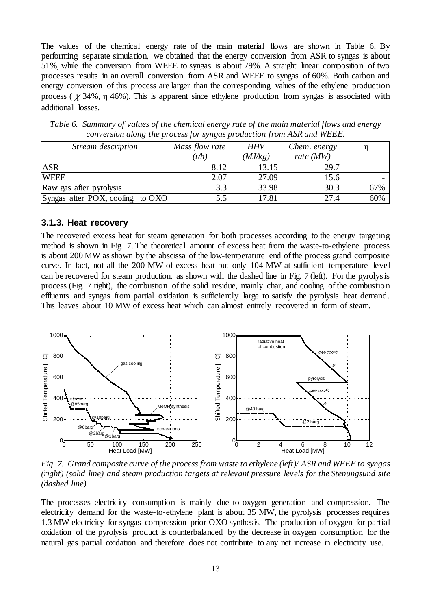The values of the chemical energy rate of the main material flows are shown in Table 6. By performing separate simulation, we obtained that the energy conversion from ASR to syngas is about 51%, while the conversion from WEEE to syngas is about 79%. A straight linear composition of two processes results in an overall conversion from ASR and WEEE to syngas of 60%. Both carbon and energy conversion of this process are larger than the corresponding values of the ethylene production process ( $\chi$  34%,  $\eta$  46%). This is apparent since ethylene production from syngas is associated with additional losses.

| Stream description                | Mass flow rate | <b>HHV</b> | Chem. energy |     |
|-----------------------------------|----------------|------------|--------------|-----|
|                                   | (t/h)          | (MJ/kg)    | rate $(MW)$  |     |
| <b>ASR</b>                        | 8.12           | 13.15      | 29.7         |     |
| <b>WEEE</b>                       | 2.07           | 27.09      | 15.6         |     |
| Raw gas after pyrolysis           | 3.3            | 33.98      | 30.3         | 67% |
| Syngas after POX, cooling, to OXO | 5.5            | 17.81      | 27.4         | 60% |

*Table 6. Summary of values of the chemical energy rate of the main material flows and energy conversion along the process for syngas production from ASR and WEEE.*

#### **3.1.3. Heat recovery**

The recovered excess heat for steam generation for both processes according to the energy targeting method is shown in Fig. 7. The theoretical amount of excess heat from the waste-to-ethylene process is about 200 MW as shown by the abscissa of the low-temperature end of the process grand composite curve. In fact, not all the 200 MW of excess heat but only 104 MW at sufficient temperature level can be recovered for steam production, as shown with the dashed line in Fig. 7 (left). For the pyrolysis process (Fig. 7 right), the combustion of the solid residue, mainly char, and cooling of the combustio n effluents and syngas from partial oxidation is sufficiently large to satisfy the pyrolysis heat demand. This leaves about 10 MW of excess heat which can almost entirely recovered in form of steam.



*Fig. 7. Grand composite curve of the process from waste to ethylene (left)/ ASR and WEEE to syngas (right) (solid line) and steam production targets at relevant pressure levels for the Stenungsund site (dashed line).*

The processes electricity consumption is mainly due to oxygen generation and compression. The electricity demand for the waste-to-ethylene plant is about 35 MW, the pyrolysis processes requires 1.3 MW electricity for syngas compression prior OXO synthesis. The production of oxygen for partial oxidation of the pyrolysis product is counterbalanced by the decrease in oxygen consumption for the natural gas partial oxidation and therefore does not contribute to any net increase in electricity use.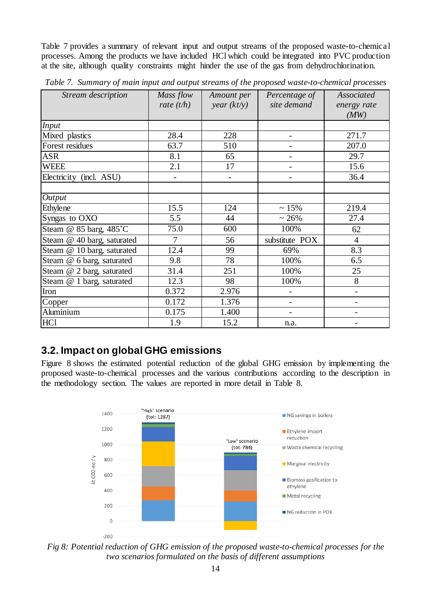Table 7 provides a summary of relevant input and output streams of the proposed waste-to-chemical processes. Among the products we have included HCl which could be integrated into PVC production at the site, although quality constraints might hinder the use of the gas from dehydrochlorination.

| Stream description         | Mass flow<br>rate $(t/h)$ | Amount per<br>year (kt/y) | Percentage of<br>site demand | Associated<br>energy rate<br>(MW) |
|----------------------------|---------------------------|---------------------------|------------------------------|-----------------------------------|
| <b>Input</b>               |                           |                           |                              |                                   |
| Mixed plastics             | 28.4                      | 228                       | $\overline{\phantom{a}}$     | 271.7                             |
| Forest residues            | 63.7                      | 510                       |                              | 207.0                             |
| <b>ASR</b>                 | 8.1                       | 65                        |                              | 29.7                              |
| <b>WEEE</b>                | 2.1                       | 17                        | $\overline{\phantom{0}}$     | 15.6                              |
| Electricity (incl. ASU)    | $\overline{\phantom{a}}$  | $\qquad \qquad -$         | $\overline{\phantom{a}}$     | 36.4                              |
|                            |                           |                           |                              |                                   |
| Output                     |                           |                           |                              |                                   |
| <b>Ethylene</b>            | 15.5                      | 124                       | ~15%                         | 219.4                             |
| Syngas to OXO              | $\overline{5.5}$          | 44                        | $~26\%$                      | 27.4                              |
| Steam @ 85 barg, 485°C     | 75.0                      | 600                       | 100%                         | 62                                |
| Steam @ 40 barg, saturated | $\overline{7}$            | 56                        | substitute POX               | $\overline{4}$                    |
| Steam @ 10 barg, saturated | 12.4                      | 99                        | 69%                          | 8.3                               |
| Steam @ 6 barg, saturated  | 9.8                       | 78                        | 100%                         | 6.5                               |
| Steam @ 2 barg, saturated  | 31.4                      | 251                       | 100%                         | 25                                |
| Steam @ 1 barg, saturated  | 12.3                      | 98                        | 100%                         | 8                                 |
| Iron                       | 0.372                     | 2.976                     | $\overline{\phantom{0}}$     | $\overline{\phantom{0}}$          |
| Copper                     | 0.172                     | 1.376                     | $\overline{\phantom{0}}$     | $\overline{\phantom{0}}$          |
| Aluminium                  | 0.175                     | 1.400                     |                              |                                   |
| HC1                        | 1.9                       | 15.2                      | n.a.                         |                                   |

*Table 7. Summary of main input and output streams of the proposed waste-to-chemical processes*

### **3.2. Impact on global GHG emissions**

Figure 8 shows the estimated potential reduction of the global GHG emission by implementing the proposed waste-to-chemical processes and the various contributions according to the description in the methodology section. The values are reported in more detail in Table 8.



*Fig 8: Potential reduction of GHG emission of the proposed waste-to-chemical processes for the two scenarios formulated on the basis of different assumptions*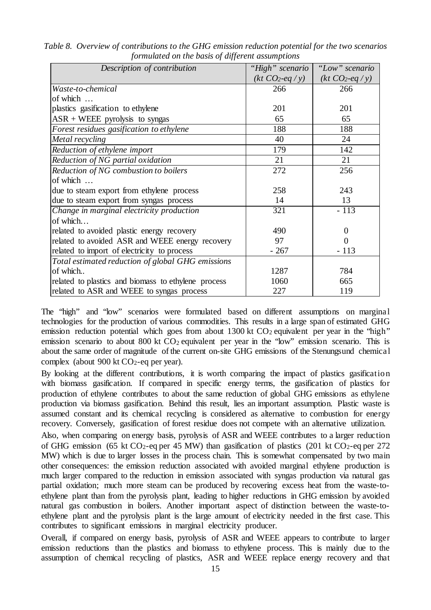| Description of contribution                         | "High" scenario | "Low" scenario  |  |
|-----------------------------------------------------|-----------------|-----------------|--|
|                                                     | $(kt CO2-eq/y)$ | $(kt CO2-eq/y)$ |  |
| Waste-to-chemical                                   | 266             | 266             |  |
| of which                                            |                 |                 |  |
| plastics gasification to ethylene                   | 201             | 201             |  |
| $ASR + WEEE$ pyrolysis to syngas                    | 65              | 65              |  |
| Forest residues gasification to ethylene            | 188             | 188             |  |
| Metal recycling                                     | 40              | 24              |  |
| Reduction of ethylene import                        | 179             | 142             |  |
| Reduction of NG partial oxidation                   | 21              | 21              |  |
| Reduction of NG combustion to boilers               | 272             | 256             |  |
| of which                                            |                 |                 |  |
| due to steam export from ethylene process           | 258             | 243             |  |
| due to steam export from syngas process             | 14              | 13              |  |
| Change in marginal electricity production           | 321             | $-113$          |  |
| of which                                            |                 |                 |  |
| related to avoided plastic energy recovery          | 490             | 0               |  |
| related to avoided ASR and WEEE energy recovery     | 97              | 0               |  |
| related to import of electricity to process         | $-267$          | $-113$          |  |
| Total estimated reduction of global GHG emissions   |                 |                 |  |
| of which                                            | 1287            | 784             |  |
| related to plastics and biomass to ethylene process | 1060            | 665             |  |
| related to ASR and WEEE to syngas process           | 227             | 119             |  |

*Table 8. Overview of contributions to the GHG emission reduction potential for the two scenarios formulated on the basis of different assumptions*

The "high" and "low" scenarios were formulated based on different assumptions on marginal technologies for the production of various commodities. This results in a large span of estimated GHG emission reduction potential which goes from about 1300 kt CO<sub>2</sub> equivalent per year in the "high" emission scenario to about 800 kt CO<sub>2</sub> equivalent per year in the "low" emission scenario. This is about the same order of magnitude of the current on-site GHG emissions of the Stenungsund chemical complex (about 900 kt  $CO<sub>2</sub>$ -eq per year).

By looking at the different contributions, it is worth comparing the impact of plastics gasification with biomass gasification. If compared in specific energy terms, the gasification of plastics for production of ethylene contributes to about the same reduction of global GHG emissions as ethylene production via biomass gasification. Behind this result, lies an important assumption. Plastic waste is assumed constant and its chemical recycling is considered as alternative to combustion for energy recovery. Conversely, gasification of forest residue does not compete with an alternative utilization.

Also, when comparing on energy basis, pyrolysis of ASR and WEEE contributes to a larger reduction of GHG emission (65 kt CO<sub>2</sub>-eq per 45 MW) than gasification of plastics (201 kt CO<sub>2</sub>-eq per 272 MW) which is due to larger losses in the process chain. This is somewhat compensated by two main other consequences: the emission reduction associated with avoided marginal ethylene production is much larger compared to the reduction in emission associated with syngas production via natural gas partial oxidation; much more steam can be produced by recovering excess heat from the waste-toethylene plant than from the pyrolysis plant, leading to higher reductions in GHG emission by avoided natural gas combustion in boilers. Another important aspect of distinction between the waste-toethylene plant and the pyrolysis plant is the large amount of electricity needed in the first case. This contributes to significant emissions in marginal electricity producer.

Overall, if compared on energy basis, pyrolysis of ASR and WEEE appears to contribute to larger emission reductions than the plastics and biomass to ethylene process. This is mainly due to the assumption of chemical recycling of plastics, ASR and WEEE replace energy recovery and that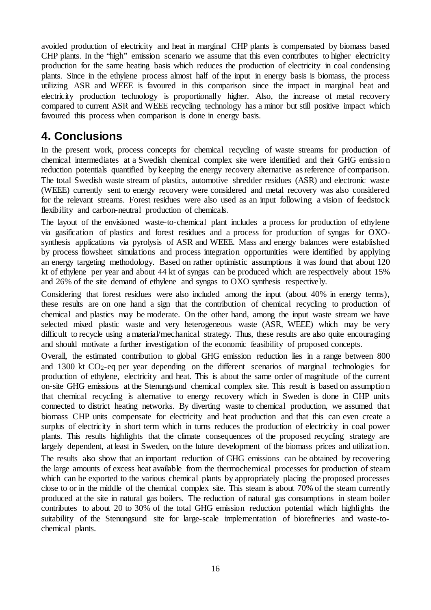avoided production of electricity and heat in marginal CHP plants is compensated by biomass based CHP plants. In the "high" emission scenario we assume that this even contributes to higher electricity production for the same heating basis which reduces the production of electricity in coal condensing plants. Since in the ethylene process almost half of the input in energy basis is biomass, the process utilizing ASR and WEEE is favoured in this comparison since the impact in marginal heat and electricity production technology is proportionally higher. Also, the increase of metal recovery compared to current ASR and WEEE recycling technology has a minor but still positive impact which favoured this process when comparison is done in energy basis.

## **4. Conclusions**

In the present work, process concepts for chemical recycling of waste streams for production of chemical intermediates at a Swedish chemical complex site were identified and their GHG emissio n reduction potentials quantified by keeping the energy recovery alternative as reference of comparison. The total Swedish waste stream of plastics, automotive shredder residues (ASR) and electronic waste (WEEE) currently sent to energy recovery were considered and metal recovery was also considered for the relevant streams. Forest residues were also used as an input following a vision of feedstock flexibility and carbon-neutral production of chemicals.

The layout of the envisioned waste-to-chemical plant includes a process for production of ethylene via gasification of plastics and forest residues and a process for production of syngas for OXOsynthesis applications via pyrolysis of ASR and WEEE. Mass and energy balances were established by process flowsheet simulations and process integration opportunities were identified by applying an energy targeting methodology. Based on rather optimistic assumptions it was found that about 120 kt of ethylene per year and about 44 kt of syngas can be produced which are respectively about 15% and 26% of the site demand of ethylene and syngas to OXO synthesis respectively.

Considering that forest residues were also included among the input (about 40% in energy terms), these results are on one hand a sign that the contribution of chemical recycling to production of chemical and plastics may be moderate. On the other hand, among the input waste stream we have selected mixed plastic waste and very heterogeneous waste (ASR, WEEE) which may be very difficult to recycle using a material/mechanical strategy. Thus, these results are also quite encouraging and should motivate a further investigation of the economic feasibility of proposed concepts.

Overall, the estimated contribution to global GHG emission reduction lies in a range between 800 and 1300 kt CO2-eq per year depending on the different scenarios of marginal technologies for production of ethylene, electricity and heat. This is about the same order of magnitude of the current on-site GHG emissions at the Stenungsund chemical complex site. This result is based on assumptio n that chemical recycling is alternative to energy recovery which in Sweden is done in CHP units connected to district heating networks. By diverting waste to chemical production, we assumed that biomass CHP units compensate for electricity and heat production and that this can even create a surplus of electricity in short term which in turns reduces the production of electricity in coal power plants. This results highlights that the climate consequences of the proposed recycling strategy are largely dependent, at least in Sweden, on the future development of the biomass prices and utilizatio n. The results also show that an important reduction of GHG emissions can be obtained by recovering the large amounts of excess heat available from the thermochemical processes for production of steam which can be exported to the various chemical plants by appropriately placing the proposed processes close to or in the middle of the chemical complex site. This steam is about 70% of the steam currently produced at the site in natural gas boilers. The reduction of natural gas consumptions in steam boiler contributes to about 20 to 30% of the total GHG emission reduction potential which highlights the suitability of the Stenungsund site for large-scale implementation of biorefineries and waste-tochemical plants.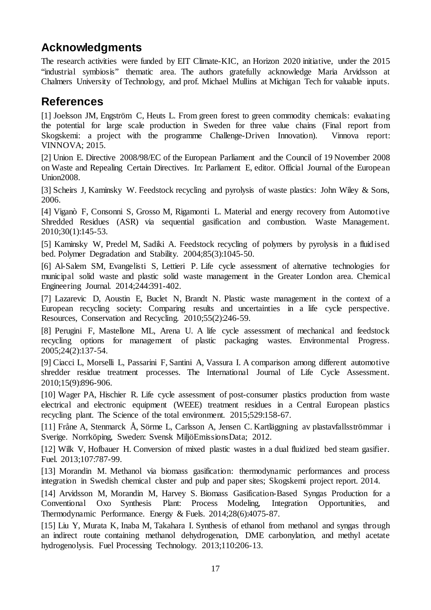## **Acknowledgments**

The research activities were funded by EIT Climate-KIC, an Horizon 2020 initiative, under the 2015 "industrial symbiosis" thematic area. The authors gratefully acknowledge Maria Arvidsson at Chalmers University of Technology, and prof. Michael Mullins at Michigan Tech for valuable inputs.

### **References**

<span id="page-16-0"></span>[1] Joelsson JM, Engström C, Heuts L. From green forest to green commodity chemicals: evaluating the potential for large scale production in Sweden for three value chains (Final report from Skogskemi: a project with the programme Challenge-Driven Innovation). Vinnova report: VINNOVA; 2015.

<span id="page-16-1"></span>[2] Union E. Directive 2008/98/EC of the European Parliament and the Council of 19 November 2008 on Waste and Repealing Certain Directives. In: Parliament E, editor. Official Journal of the European Union2008.

<span id="page-16-2"></span>[3] Scheirs J, Kaminsky W. Feedstock recycling and pyrolysis of waste plastics: John Wiley & Sons, 2006.

<span id="page-16-3"></span>[4] Viganò F, Consonni S, Grosso M, Rigamonti L. Material and energy recovery from Automotive Shredded Residues (ASR) via sequential gasification and combustion. Waste Management. 2010;30(1):145-53.

<span id="page-16-4"></span>[5] Kaminsky W, Predel M, Sadiki A. Feedstock recycling of polymers by pyrolysis in a fluid ised bed. Polymer Degradation and Stability. 2004;85(3):1045-50.

<span id="page-16-5"></span>[6] Al-Salem SM, Evangelisti S, Lettieri P. Life cycle assessment of alternative technologies for municipal solid waste and plastic solid waste management in the Greater London area. Chemical Engineering Journal. 2014;244:391-402.

<span id="page-16-6"></span>[7] Lazarevic D, Aoustin E, Buclet N, Brandt N. Plastic waste management in the context of a European recycling society: Comparing results and uncertainties in a life cycle perspective. Resources, Conservation and Recycling. 2010;55(2):246-59.

<span id="page-16-7"></span>[8] Perugini F, Mastellone ML, Arena U. A life cycle assessment of mechanical and feedstock recycling options for management of plastic packaging wastes. Environmental Progress. 2005;24(2):137-54.

<span id="page-16-8"></span>[9] Ciacci L, Morselli L, Passarini F, Santini A, Vassura I. A comparison among different automotive shredder residue treatment processes. The International Journal of Life Cycle Assessment. 2010;15(9):896-906.

<span id="page-16-9"></span>[10] Wager PA, Hischier R. Life cycle assessment of post-consumer plastics production from waste electrical and electronic equipment (WEEE) treatment residues in a Central European plastics recycling plant. The Science of the total environment. 2015;529:158-67.

<span id="page-16-10"></span>[11] Fråne A, Stenmarck Å, Sörme L, Carlsson A, Jensen C. Kartläggning av plastavfallsströmmar i Sverige. Norrköping, Sweden: Svensk MiljöEmissionsData; 2012.

<span id="page-16-11"></span>[12] Wilk V, Hofbauer H. Conversion of mixed plastic wastes in a dual fluidized bed steam gasifier. Fuel. 2013;107:787-99.

<span id="page-16-12"></span>[13] Morandin M. Methanol via biomass gasification: thermodynamic performances and process integration in Swedish chemical cluster and pulp and paper sites; Skogskemi project report. 2014.

<span id="page-16-13"></span>[14] Arvidsson M, Morandin M, Harvey S. Biomass Gasification-Based Syngas Production for a Conventional Oxo Synthesis Plant: Process Modeling, Integration Opportunities, and Thermodynamic Performance. Energy & Fuels. 2014;28(6):4075-87.

<span id="page-16-14"></span>[15] Liu Y, Murata K, Inaba M, Takahara I. Synthesis of ethanol from methanol and syngas through an indirect route containing methanol dehydrogenation, DME carbonylation, and methyl acetate hydrogenolysis. Fuel Processing Technology. 2013;110:206-13.